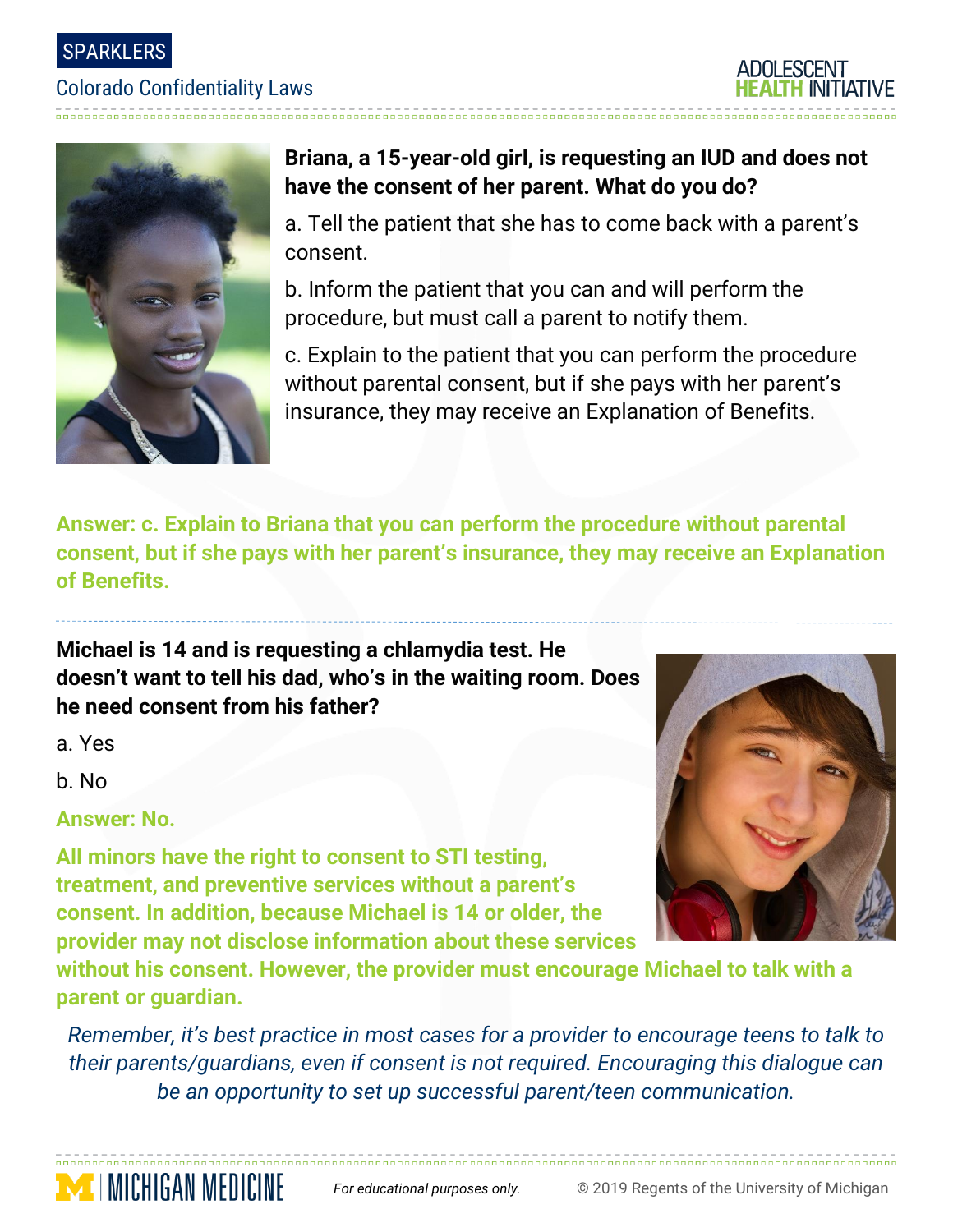SPARKLERS

#### Colorado Confidentiality Laws





## **Briana, a 15-year-old girl, is requesting an IUD and does not have the consent of her parent. What do you do?**

a. Tell the patient that she has to come back with a parent's consent.

b. Inform the patient that you can and will perform the procedure, but must call a parent to notify them.

c. Explain to the patient that you can perform the procedure without parental consent, but if she pays with her parent's insurance, they may receive an Explanation of Benefits.

**Answer: c. Explain to Briana that you can perform the procedure without parental consent, but if she pays with her parent's insurance, they may receive an Explanation of Benefits.**

**Michael is 14 and is requesting a chlamydia test. He doesn't want to tell his dad, who's in the waiting room. Does he need consent from his father?**

a. Yes

b. No

**Answer: No.** 

**TIMICHIGAN MEDICINE** 

**All minors have the right to consent to STI testing, treatment, and preventive services without a parent's consent. In addition, because Michael is 14 or older, the provider may not disclose information about these services** 

**without his consent. However, the provider must encourage Michael to talk with a parent or guardian.**

*Remember, it's best practice in most cases for a provider to encourage teens to talk to their parents/guardians, even if consent is not required. Encouraging this dialogue can be an opportunity to set up successful parent/teen communication.*

*For educational purposes only.* © 2019 Regents of the University of Michigan

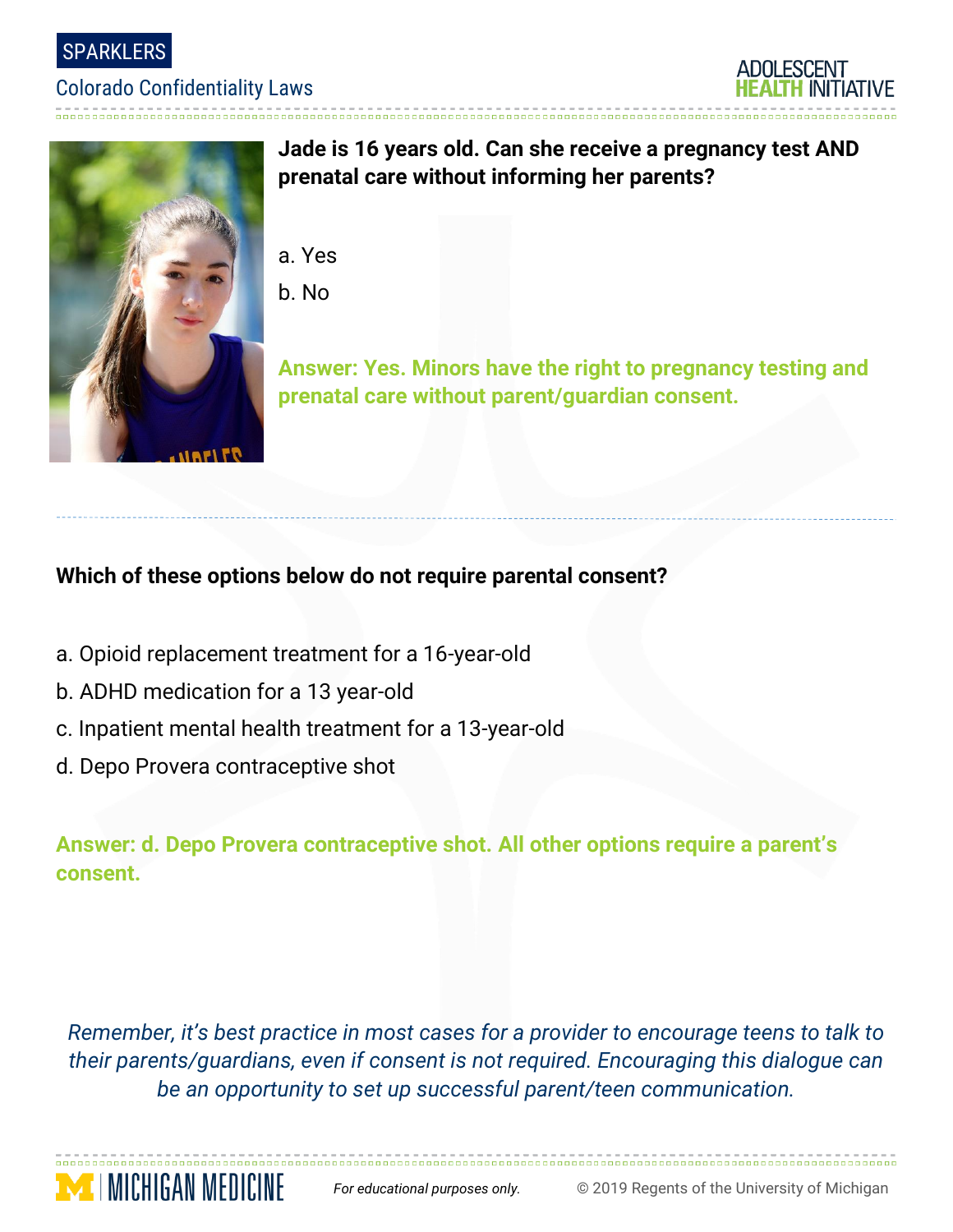SPARKLERS

#### Colorado Confidentiality Laws





### **Jade is 16 years old. Can she receive a pregnancy test AND prenatal care without informing her parents?**

- a. Yes
- b. No

**Answer: Yes. Minors have the right to pregnancy testing and prenatal care without parent/guardian consent.**

## **Which of these options below do not require parental consent?**

- a. Opioid replacement treatment for a 16-year-old
- b. ADHD medication for a 13 year-old
- c. Inpatient mental health treatment for a 13-year-old
- d. Depo Provera contraceptive shot

**Answer: d. Depo Provera contraceptive shot. All other options require a parent's consent.**

*Remember, it's best practice in most cases for a provider to encourage teens to talk to their parents/guardians, even if consent is not required. Encouraging this dialogue can be an opportunity to set up successful parent/teen communication.*